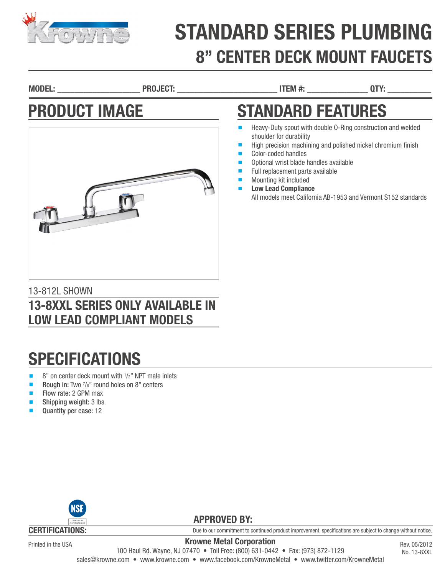

# STANDARD SERIES PLUMBING 8" CENTER DECK MOUNT FAUCETS

MODEL: The contract of the product: the product of the product of the product of the product of the product of the product of the product of the product of the product of the product of the product of the product of the pr

shoulder for durability

Color-coded handles

Mounting kit included **Low Lead Compliance** 

STANDARD FEATURES

Optional wrist blade handles available Full replacement parts available

■ Heavy-Duty spout with double 0-Ring construction and welded

High precision machining and polished nickel chromium finish

All models meet California AB-1953 and Vermont S152 standards

## PRODUCT IMAGE



#### 13-812L SHOWN 13-8XXL SERIES ONLY AVAILABLE IN LOW LEAD COMPLIANT MODELS

# **SPECIFICATIONS**

- 8" on center deck mount with <sup>1</sup>/<sub>2</sub>" NPT male inlets
- Rough in: Two  $\frac{7}{8}$ " round holes on 8" centers
- Flow rate: 2 GPM max
- Shipping weight: 3 lbs.
- Quantity per case: 12



Printed in the USA

#### APPROVED BY:

Due to our commitment to continued product improvement, specifications are subject to change without notice.

Krowne Metal Corporation 100 Haul Rd. Wayne, NJ 07470 • Toll Free: (800) 631-0442 • Fax: (973) 872-1129 sales@krowne.com • www.krowne.com • www.facebook.com/KrowneMetal • www.twitter.com/KrowneMetal